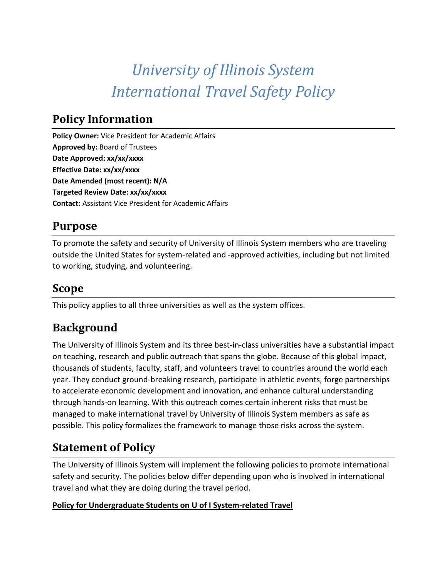# *University of Illinois System International Travel Safety Policy*

## **Policy Information**

**Policy Owner:** Vice President for Academic Affairs **Approved by:** Board of Trustees **Date Approved: xx/xx/xxxx Effective Date: xx/xx/xxxx Date Amended (most recent): N/A Targeted Review Date: xx/xx/xxxx Contact:** Assistant Vice President for Academic Affairs

# **Purpose**

To promote the safety and security of University of Illinois System members who are traveling outside the United States for system-related and -approved activities, including but not limited to working, studying, and volunteering.

## **Scope**

This policy applies to all three universities as well as the system offices.

# **Background**

The University of Illinois System and its three best-in-class universities have a substantial impact on teaching, research and public outreach that spans the globe. Because of this global impact, thousands of students, faculty, staff, and volunteers travel to countries around the world each year. They conduct ground-breaking research, participate in athletic events, forge partnerships to accelerate economic development and innovation, and enhance cultural understanding through hands-on learning. With this outreach comes certain inherent risks that must be managed to make international travel by University of Illinois System members as safe as possible. This policy formalizes the framework to manage those risks across the system.

# **Statement of Policy**

The University of Illinois System will implement the following policies to promote international safety and security. The policies below differ depending upon who is involved in international travel and what they are doing during the travel period.

#### **Policy for Undergraduate Students on U of I System-related Travel**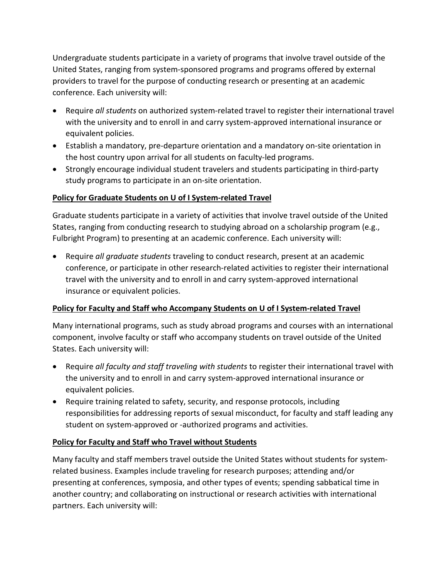Undergraduate students participate in a variety of programs that involve travel outside of the United States, ranging from system-sponsored programs and programs offered by external providers to travel for the purpose of conducting research or presenting at an academic conference. Each university will:

- Require *all students* on authorized system-related travel to register their international travel with the university and to enroll in and carry system-approved international insurance or equivalent policies.
- Establish a mandatory, pre-departure orientation and a mandatory on-site orientation in the host country upon arrival for all students on faculty-led programs.
- Strongly encourage individual student travelers and students participating in third-party study programs to participate in an on-site orientation.

#### **Policy for Graduate Students on U of I System-related Travel**

Graduate students participate in a variety of activities that involve travel outside of the United States, ranging from conducting research to studying abroad on a scholarship program (e.g., Fulbright Program) to presenting at an academic conference. Each university will:

• Require *all graduate students* traveling to conduct research, present at an academic conference, or participate in other research-related activities to register their international travel with the university and to enroll in and carry system-approved international insurance or equivalent policies.

#### **Policy for Faculty and Staff who Accompany Students on U of I System-related Travel**

Many international programs, such as study abroad programs and courses with an international component, involve faculty or staff who accompany students on travel outside of the United States. Each university will:

- Require *all faculty and staff traveling with students* to register their international travel with the university and to enroll in and carry system-approved international insurance or equivalent policies.
- Require training related to safety, security, and response protocols, including responsibilities for addressing reports of sexual misconduct, for faculty and staff leading any student on system-approved or -authorized programs and activities.

#### **Policy for Faculty and Staff who Travel without Students**

Many faculty and staff members travel outside the United States without students for systemrelated business. Examples include traveling for research purposes; attending and/or presenting at conferences, symposia, and other types of events; spending sabbatical time in another country; and collaborating on instructional or research activities with international partners. Each university will: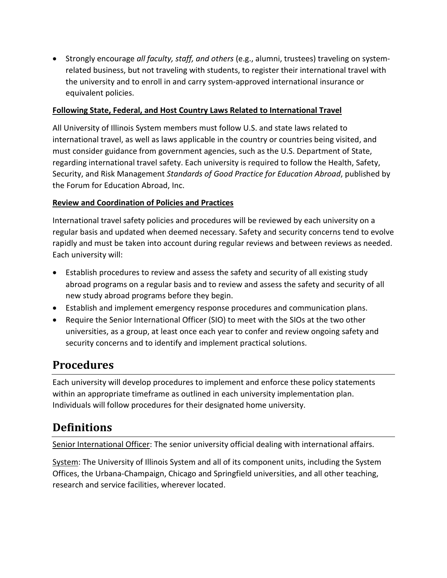• Strongly encourage *all faculty, staff, and others* (e.g., alumni, trustees) traveling on systemrelated business, but not traveling with students, to register their international travel with the university and to enroll in and carry system-approved international insurance or equivalent policies.

#### **Following State, Federal, and Host Country Laws Related to International Travel**

All University of Illinois System members must follow U.S. and state laws related to international travel, as well as laws applicable in the country or countries being visited, and must consider guidance from government agencies, such as the U.S. Department of State, regarding international travel safety. Each university is required to follow the Health, Safety, Security, and Risk Management *Standards of Good Practice for Education Abroad*, published by the Forum for Education Abroad, Inc.

#### **Review and Coordination of Policies and Practices**

International travel safety policies and procedures will be reviewed by each university on a regular basis and updated when deemed necessary. Safety and security concerns tend to evolve rapidly and must be taken into account during regular reviews and between reviews as needed. Each university will:

- Establish procedures to review and assess the safety and security of all existing study abroad programs on a regular basis and to review and assess the safety and security of all new study abroad programs before they begin.
- Establish and implement emergency response procedures and communication plans.
- Require the Senior International Officer (SIO) to meet with the SIOs at the two other universities, as a group, at least once each year to confer and review ongoing safety and security concerns and to identify and implement practical solutions.

### **Procedures**

Each university will develop procedures to implement and enforce these policy statements within an appropriate timeframe as outlined in each university implementation plan. Individuals will follow procedures for their designated home university.

### **Definitions**

Senior International Officer: The senior university official dealing with international affairs.

System: The University of Illinois System and all of its component units, including the System Offices, the Urbana-Champaign, Chicago and Springfield universities, and all other teaching, research and service facilities, wherever located.